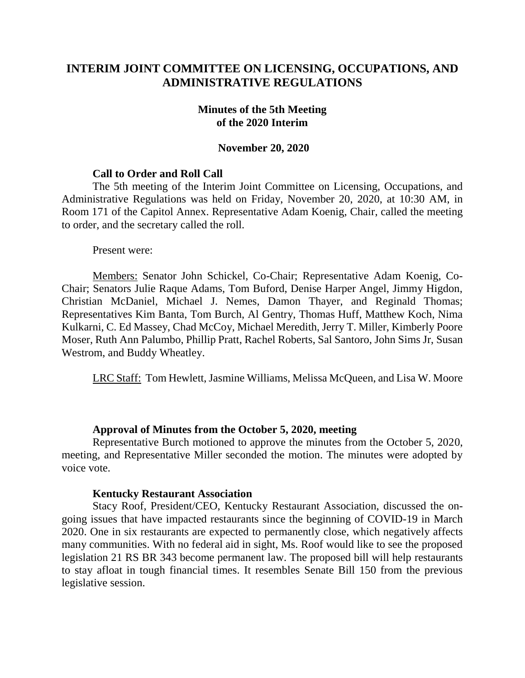# **INTERIM JOINT COMMITTEE ON LICENSING, OCCUPATIONS, AND ADMINISTRATIVE REGULATIONS**

## **Minutes of the 5th Meeting of the 2020 Interim**

## **November 20, 2020**

## **Call to Order and Roll Call**

The 5th meeting of the Interim Joint Committee on Licensing, Occupations, and Administrative Regulations was held on Friday, November 20, 2020, at 10:30 AM, in Room 171 of the Capitol Annex. Representative Adam Koenig, Chair, called the meeting to order, and the secretary called the roll.

Present were:

Members: Senator John Schickel, Co-Chair; Representative Adam Koenig, Co-Chair; Senators Julie Raque Adams, Tom Buford, Denise Harper Angel, Jimmy Higdon, Christian McDaniel, Michael J. Nemes, Damon Thayer, and Reginald Thomas; Representatives Kim Banta, Tom Burch, Al Gentry, Thomas Huff, Matthew Koch, Nima Kulkarni, C. Ed Massey, Chad McCoy, Michael Meredith, Jerry T. Miller, Kimberly Poore Moser, Ruth Ann Palumbo, Phillip Pratt, Rachel Roberts, Sal Santoro, John Sims Jr, Susan Westrom, and Buddy Wheatley.

LRC Staff: Tom Hewlett, Jasmine Williams, Melissa McQueen, and Lisa W. Moore

#### **Approval of Minutes from the October 5, 2020, meeting**

Representative Burch motioned to approve the minutes from the October 5, 2020, meeting, and Representative Miller seconded the motion. The minutes were adopted by voice vote.

#### **Kentucky Restaurant Association**

Stacy Roof, President/CEO, Kentucky Restaurant Association, discussed the ongoing issues that have impacted restaurants since the beginning of COVID-19 in March 2020. One in six restaurants are expected to permanently close, which negatively affects many communities. With no federal aid in sight, Ms. Roof would like to see the proposed legislation 21 RS BR 343 become permanent law. The proposed bill will help restaurants to stay afloat in tough financial times. It resembles Senate Bill 150 from the previous legislative session.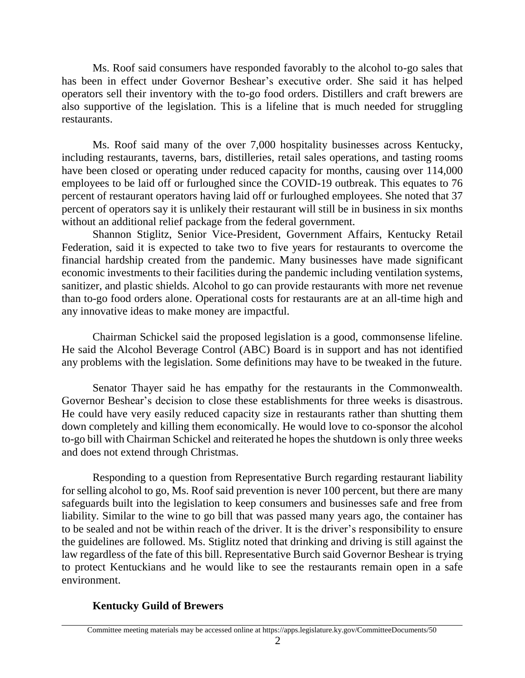Ms. Roof said consumers have responded favorably to the alcohol to-go sales that has been in effect under Governor Beshear's executive order. She said it has helped operators sell their inventory with the to-go food orders. Distillers and craft brewers are also supportive of the legislation. This is a lifeline that is much needed for struggling restaurants.

Ms. Roof said many of the over 7,000 hospitality businesses across Kentucky, including restaurants, taverns, bars, distilleries, retail sales operations, and tasting rooms have been closed or operating under reduced capacity for months, causing over 114,000 employees to be laid off or furloughed since the COVID-19 outbreak. This equates to 76 percent of restaurant operators having laid off or furloughed employees. She noted that 37 percent of operators say it is unlikely their restaurant will still be in business in six months without an additional relief package from the federal government.

Shannon Stiglitz, Senior Vice-President, Government Affairs, Kentucky Retail Federation, said it is expected to take two to five years for restaurants to overcome the financial hardship created from the pandemic. Many businesses have made significant economic investments to their facilities during the pandemic including ventilation systems, sanitizer, and plastic shields. Alcohol to go can provide restaurants with more net revenue than to-go food orders alone. Operational costs for restaurants are at an all-time high and any innovative ideas to make money are impactful.

Chairman Schickel said the proposed legislation is a good, commonsense lifeline. He said the Alcohol Beverage Control (ABC) Board is in support and has not identified any problems with the legislation. Some definitions may have to be tweaked in the future.

Senator Thayer said he has empathy for the restaurants in the Commonwealth. Governor Beshear's decision to close these establishments for three weeks is disastrous. He could have very easily reduced capacity size in restaurants rather than shutting them down completely and killing them economically. He would love to co-sponsor the alcohol to-go bill with Chairman Schickel and reiterated he hopes the shutdown is only three weeks and does not extend through Christmas.

Responding to a question from Representative Burch regarding restaurant liability for selling alcohol to go, Ms. Roof said prevention is never 100 percent, but there are many safeguards built into the legislation to keep consumers and businesses safe and free from liability. Similar to the wine to go bill that was passed many years ago, the container has to be sealed and not be within reach of the driver. It is the driver's responsibility to ensure the guidelines are followed. Ms. Stiglitz noted that drinking and driving is still against the law regardless of the fate of this bill. Representative Burch said Governor Beshear is trying to protect Kentuckians and he would like to see the restaurants remain open in a safe environment.

# **Kentucky Guild of Brewers**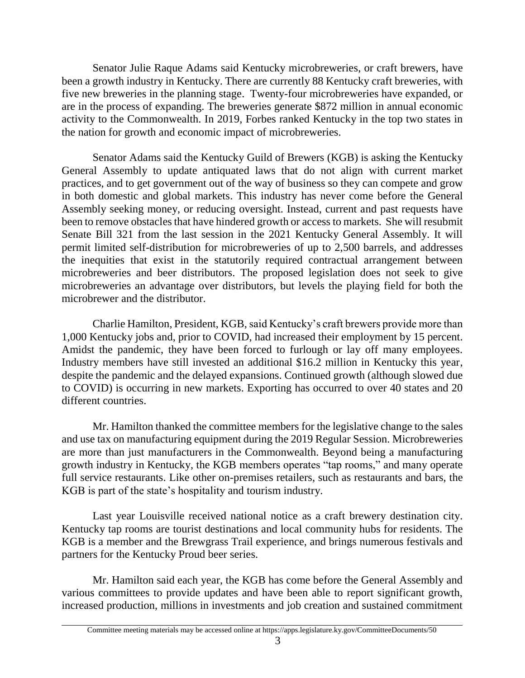Senator Julie Raque Adams said Kentucky microbreweries, or craft brewers, have been a growth industry in Kentucky. There are currently 88 Kentucky craft breweries, with five new breweries in the planning stage. Twenty-four microbreweries have expanded, or are in the process of expanding. The breweries generate \$872 million in annual economic activity to the Commonwealth. In 2019, Forbes ranked Kentucky in the top two states in the nation for growth and economic impact of microbreweries.

Senator Adams said the Kentucky Guild of Brewers (KGB) is asking the Kentucky General Assembly to update antiquated laws that do not align with current market practices, and to get government out of the way of business so they can compete and grow in both domestic and global markets. This industry has never come before the General Assembly seeking money, or reducing oversight. Instead, current and past requests have been to remove obstacles that have hindered growth or access to markets. She will resubmit Senate Bill 321 from the last session in the 2021 Kentucky General Assembly. It will permit limited self-distribution for microbreweries of up to 2,500 barrels, and addresses the inequities that exist in the statutorily required contractual arrangement between microbreweries and beer distributors. The proposed legislation does not seek to give microbreweries an advantage over distributors, but levels the playing field for both the microbrewer and the distributor.

Charlie Hamilton, President, KGB, said Kentucky's craft brewers provide more than 1,000 Kentucky jobs and, prior to COVID, had increased their employment by 15 percent. Amidst the pandemic, they have been forced to furlough or lay off many employees. Industry members have still invested an additional \$16.2 million in Kentucky this year, despite the pandemic and the delayed expansions. Continued growth (although slowed due to COVID) is occurring in new markets. Exporting has occurred to over 40 states and 20 different countries.

Mr. Hamilton thanked the committee members for the legislative change to the sales and use tax on manufacturing equipment during the 2019 Regular Session. Microbreweries are more than just manufacturers in the Commonwealth. Beyond being a manufacturing growth industry in Kentucky, the KGB members operates "tap rooms," and many operate full service restaurants. Like other on-premises retailers, such as restaurants and bars, the KGB is part of the state's hospitality and tourism industry.

Last year Louisville received national notice as a craft brewery destination city. Kentucky tap rooms are tourist destinations and local community hubs for residents. The KGB is a member and the Brewgrass Trail experience, and brings numerous festivals and partners for the Kentucky Proud beer series.

Mr. Hamilton said each year, the KGB has come before the General Assembly and various committees to provide updates and have been able to report significant growth, increased production, millions in investments and job creation and sustained commitment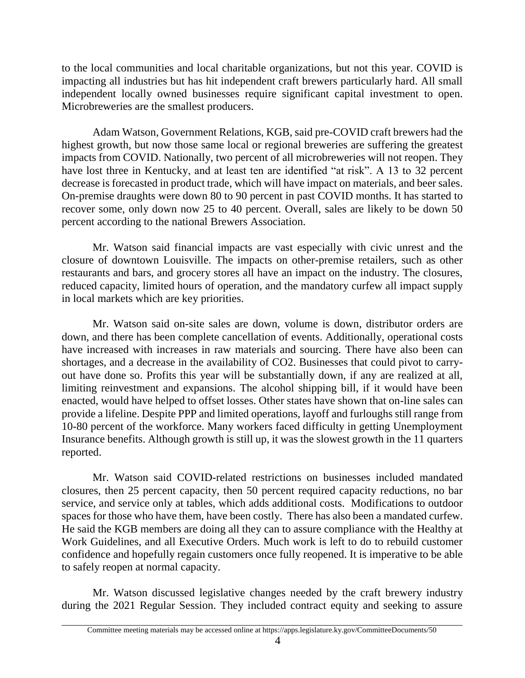to the local communities and local charitable organizations, but not this year. COVID is impacting all industries but has hit independent craft brewers particularly hard. All small independent locally owned businesses require significant capital investment to open. Microbreweries are the smallest producers.

Adam Watson, Government Relations, KGB, said pre-COVID craft brewers had the highest growth, but now those same local or regional breweries are suffering the greatest impacts from COVID. Nationally, two percent of all microbreweries will not reopen. They have lost three in Kentucky, and at least ten are identified "at risk". A 13 to 32 percent decrease is forecasted in product trade, which will have impact on materials, and beer sales. On-premise draughts were down 80 to 90 percent in past COVID months. It has started to recover some, only down now 25 to 40 percent. Overall, sales are likely to be down 50 percent according to the national Brewers Association.

Mr. Watson said financial impacts are vast especially with civic unrest and the closure of downtown Louisville. The impacts on other-premise retailers, such as other restaurants and bars, and grocery stores all have an impact on the industry. The closures, reduced capacity, limited hours of operation, and the mandatory curfew all impact supply in local markets which are key priorities.

Mr. Watson said on-site sales are down, volume is down, distributor orders are down, and there has been complete cancellation of events. Additionally, operational costs have increased with increases in raw materials and sourcing. There have also been can shortages, and a decrease in the availability of CO2. Businesses that could pivot to carryout have done so. Profits this year will be substantially down, if any are realized at all, limiting reinvestment and expansions. The alcohol shipping bill, if it would have been enacted, would have helped to offset losses. Other states have shown that on-line sales can provide a lifeline. Despite PPP and limited operations, layoff and furloughs still range from 10-80 percent of the workforce. Many workers faced difficulty in getting Unemployment Insurance benefits. Although growth is still up, it was the slowest growth in the 11 quarters reported.

Mr. Watson said COVID-related restrictions on businesses included mandated closures, then 25 percent capacity, then 50 percent required capacity reductions, no bar service, and service only at tables, which adds additional costs. Modifications to outdoor spaces for those who have them, have been costly. There has also been a mandated curfew. He said the KGB members are doing all they can to assure compliance with the Healthy at Work Guidelines, and all Executive Orders. Much work is left to do to rebuild customer confidence and hopefully regain customers once fully reopened. It is imperative to be able to safely reopen at normal capacity.

Mr. Watson discussed legislative changes needed by the craft brewery industry during the 2021 Regular Session. They included contract equity and seeking to assure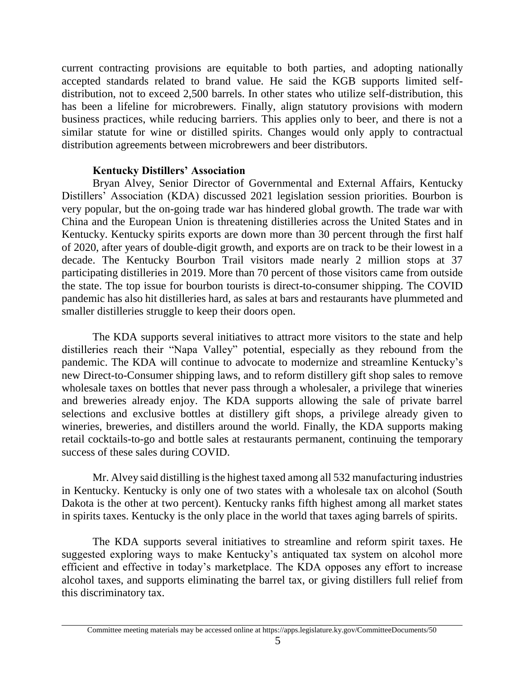current contracting provisions are equitable to both parties, and adopting nationally accepted standards related to brand value. He said the KGB supports limited selfdistribution, not to exceed 2,500 barrels. In other states who utilize self-distribution, this has been a lifeline for microbrewers. Finally, align statutory provisions with modern business practices, while reducing barriers. This applies only to beer, and there is not a similar statute for wine or distilled spirits. Changes would only apply to contractual distribution agreements between microbrewers and beer distributors.

## **Kentucky Distillers' Association**

Bryan Alvey, Senior Director of Governmental and External Affairs, Kentucky Distillers' Association (KDA) discussed 2021 legislation session priorities. Bourbon is very popular, but the on-going trade war has hindered global growth. The trade war with China and the European Union is threatening distilleries across the United States and in Kentucky. Kentucky spirits exports are down more than 30 percent through the first half of 2020, after years of double-digit growth, and exports are on track to be their lowest in a decade. The Kentucky Bourbon Trail visitors made nearly 2 million stops at 37 participating distilleries in 2019. More than 70 percent of those visitors came from outside the state. The top issue for bourbon tourists is direct-to-consumer shipping. The COVID pandemic has also hit distilleries hard, as sales at bars and restaurants have plummeted and smaller distilleries struggle to keep their doors open.

The KDA supports several initiatives to attract more visitors to the state and help distilleries reach their "Napa Valley" potential, especially as they rebound from the pandemic. The KDA will continue to advocate to modernize and streamline Kentucky's new Direct-to-Consumer shipping laws, and to reform distillery gift shop sales to remove wholesale taxes on bottles that never pass through a wholesaler, a privilege that wineries and breweries already enjoy. The KDA supports allowing the sale of private barrel selections and exclusive bottles at distillery gift shops, a privilege already given to wineries, breweries, and distillers around the world. Finally, the KDA supports making retail cocktails-to-go and bottle sales at restaurants permanent, continuing the temporary success of these sales during COVID.

Mr. Alvey said distilling is the highest taxed among all 532 manufacturing industries in Kentucky. Kentucky is only one of two states with a wholesale tax on alcohol (South Dakota is the other at two percent). Kentucky ranks fifth highest among all market states in spirits taxes. Kentucky is the only place in the world that taxes aging barrels of spirits.

The KDA supports several initiatives to streamline and reform spirit taxes. He suggested exploring ways to make Kentucky's antiquated tax system on alcohol more efficient and effective in today's marketplace. The KDA opposes any effort to increase alcohol taxes, and supports eliminating the barrel tax, or giving distillers full relief from this discriminatory tax.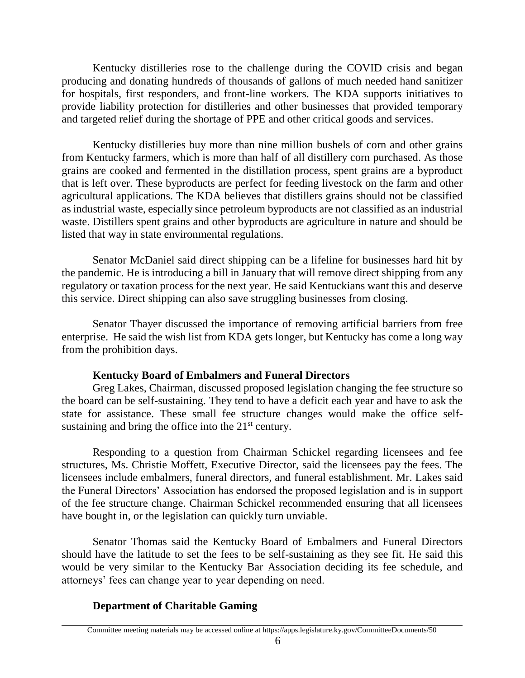Kentucky distilleries rose to the challenge during the COVID crisis and began producing and donating hundreds of thousands of gallons of much needed hand sanitizer for hospitals, first responders, and front-line workers. The KDA supports initiatives to provide liability protection for distilleries and other businesses that provided temporary and targeted relief during the shortage of PPE and other critical goods and services.

Kentucky distilleries buy more than nine million bushels of corn and other grains from Kentucky farmers, which is more than half of all distillery corn purchased. As those grains are cooked and fermented in the distillation process, spent grains are a byproduct that is left over. These byproducts are perfect for feeding livestock on the farm and other agricultural applications. The KDA believes that distillers grains should not be classified as industrial waste, especially since petroleum byproducts are not classified as an industrial waste. Distillers spent grains and other byproducts are agriculture in nature and should be listed that way in state environmental regulations.

Senator McDaniel said direct shipping can be a lifeline for businesses hard hit by the pandemic. He is introducing a bill in January that will remove direct shipping from any regulatory or taxation process for the next year. He said Kentuckians want this and deserve this service. Direct shipping can also save struggling businesses from closing.

Senator Thayer discussed the importance of removing artificial barriers from free enterprise. He said the wish list from KDA gets longer, but Kentucky has come a long way from the prohibition days.

# **Kentucky Board of Embalmers and Funeral Directors**

Greg Lakes, Chairman, discussed proposed legislation changing the fee structure so the board can be self-sustaining. They tend to have a deficit each year and have to ask the state for assistance. These small fee structure changes would make the office selfsustaining and bring the office into the  $21<sup>st</sup>$  century.

Responding to a question from Chairman Schickel regarding licensees and fee structures, Ms. Christie Moffett, Executive Director, said the licensees pay the fees. The licensees include embalmers, funeral directors, and funeral establishment. Mr. Lakes said the Funeral Directors' Association has endorsed the proposed legislation and is in support of the fee structure change. Chairman Schickel recommended ensuring that all licensees have bought in, or the legislation can quickly turn unviable.

Senator Thomas said the Kentucky Board of Embalmers and Funeral Directors should have the latitude to set the fees to be self-sustaining as they see fit. He said this would be very similar to the Kentucky Bar Association deciding its fee schedule, and attorneys' fees can change year to year depending on need.

# **Department of Charitable Gaming**

Committee meeting materials may be accessed online at https://apps.legislature.ky.gov/CommitteeDocuments/50